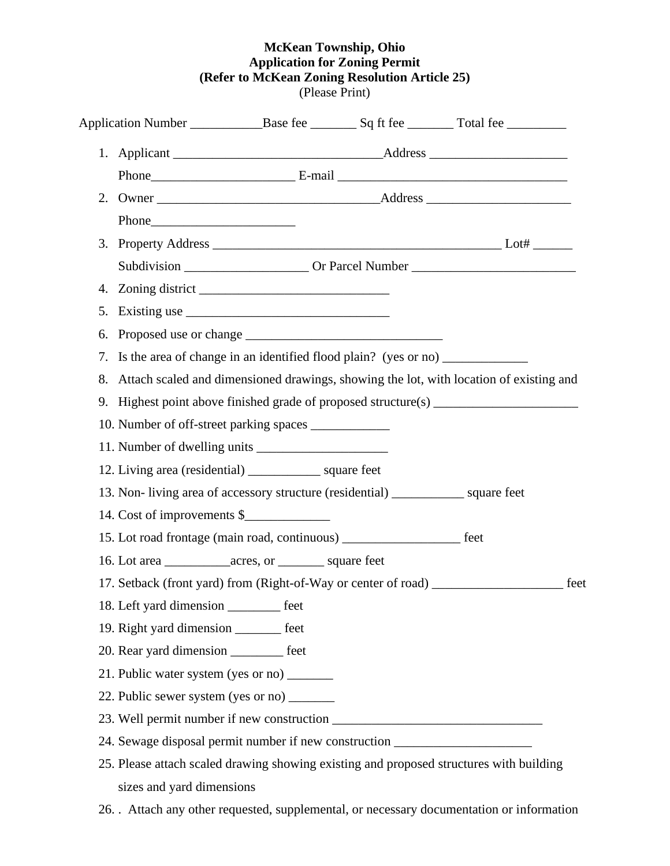## **McKean Township, Ohio Application for Zoning Permit (Refer to McKean Zoning Resolution Article 25)** (Please Print)

| 2.                                                                                 |                                                                                  |  |                                                                                         |  |  |  |  |  |
|------------------------------------------------------------------------------------|----------------------------------------------------------------------------------|--|-----------------------------------------------------------------------------------------|--|--|--|--|--|
|                                                                                    |                                                                                  |  |                                                                                         |  |  |  |  |  |
|                                                                                    |                                                                                  |  |                                                                                         |  |  |  |  |  |
|                                                                                    |                                                                                  |  |                                                                                         |  |  |  |  |  |
|                                                                                    |                                                                                  |  |                                                                                         |  |  |  |  |  |
| 5.                                                                                 | Existing use $\frac{1}{1}$ Existing use $\frac{1}{1}$ Existing use $\frac{1}{1}$ |  |                                                                                         |  |  |  |  |  |
| 6.                                                                                 |                                                                                  |  |                                                                                         |  |  |  |  |  |
| 7.                                                                                 | Is the area of change in an identified flood plain? (yes or no) ________________ |  |                                                                                         |  |  |  |  |  |
| 8.                                                                                 |                                                                                  |  | Attach scaled and dimensioned drawings, showing the lot, with location of existing and  |  |  |  |  |  |
|                                                                                    |                                                                                  |  | 9. Highest point above finished grade of proposed structure(s) _________________        |  |  |  |  |  |
| 10. Number of off-street parking spaces _____________                              |                                                                                  |  |                                                                                         |  |  |  |  |  |
|                                                                                    |                                                                                  |  |                                                                                         |  |  |  |  |  |
| 12. Living area (residential) ___________________ square feet                      |                                                                                  |  |                                                                                         |  |  |  |  |  |
| 13. Non-living area of accessory structure (residential) _____________ square feet |                                                                                  |  |                                                                                         |  |  |  |  |  |
| 14. Cost of improvements \$                                                        |                                                                                  |  |                                                                                         |  |  |  |  |  |
| 15. Lot road frontage (main road, continuous) _______________________ feet         |                                                                                  |  |                                                                                         |  |  |  |  |  |
|                                                                                    |                                                                                  |  |                                                                                         |  |  |  |  |  |
|                                                                                    |                                                                                  |  | 17. Setback (front yard) from (Right-of-Way or center of road) _________________ feet   |  |  |  |  |  |
| 18. Left yard dimension ___________ feet                                           |                                                                                  |  |                                                                                         |  |  |  |  |  |
| 19. Right yard dimension _______ feet                                              |                                                                                  |  |                                                                                         |  |  |  |  |  |
| 20. Rear yard dimension _________ feet                                             |                                                                                  |  |                                                                                         |  |  |  |  |  |
| 21. Public water system (yes or no) _______                                        |                                                                                  |  |                                                                                         |  |  |  |  |  |
| 22. Public sewer system (yes or no) ________                                       |                                                                                  |  |                                                                                         |  |  |  |  |  |
|                                                                                    |                                                                                  |  |                                                                                         |  |  |  |  |  |
| 24. Sewage disposal permit number if new construction __________________________   |                                                                                  |  |                                                                                         |  |  |  |  |  |
|                                                                                    |                                                                                  |  | 25. Please attach scaled drawing showing existing and proposed structures with building |  |  |  |  |  |
| sizes and yard dimensions                                                          |                                                                                  |  |                                                                                         |  |  |  |  |  |

26. . Attach any other requested, supplemental, or necessary documentation or information